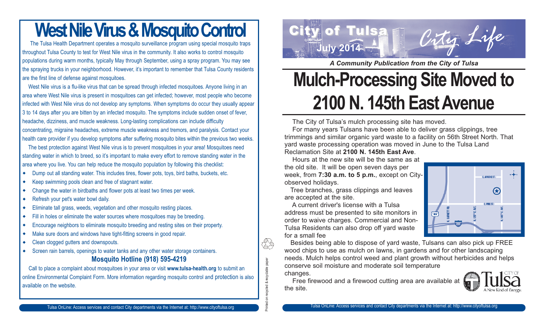### **West Nile Virus & Mosquito Control**

The Tulsa Health Department operates a mosquito surveillance program using special mosquito traps throughout Tulsa County to test for West Nile virus in the community. It also works to control mosquito populations during warm months, typically May through September, using a spray program. You may see the spraying trucks in your neighborhood. However, it's important to remember that Tulsa County residents are the first line of defense against mosquitoes.

West Nile virus is a flu-like virus that can be spread through infected mosquitoes. Anyone living in an area where West Nile virus is present in mosquitoes can get infected; however, most people who become infected with West Nile virus do not develop any symptoms. When symptoms do occur they usually appear 3 to 14 days after you are bitten by an infected mosquito. The symptoms include sudden onset of fever, headache, dizziness, and muscle weakness. Long-lasting complications can include difficulty concentrating, migraine headaches, extreme muscle weakness and tremors, and paralysis. Contact your health care provider if you develop symptoms after suffering mosquito bites within the previous two weeks.

The best protection against West Nile virus is to prevent mosquitoes in your area! Mosquitoes need standing water in which to breed, so it's important to make every effort to remove standing water in the area where you live. You can help reduce the mosquito population by following this checklist:

- $\bullet$ Dump out all standing water. This includes tires, flower pots, toys, bird baths, buckets, etc.
- $\bullet$ Keep swimming pools clean and free of stagnant water.
- $\bullet$ Change the water in birdbaths and flower pots at least two times per week.
- $\bullet$ Refresh your pet's water bowl daily.
- $\bullet$ Eliminate tall grass, weeds, vegetation and other mosquito resting places.
- $\bullet$ Fill in holes or eliminate the water sources where mosquitoes may be breeding.
- $\bullet$ Encourage neighbors to eliminate mosquito breeding and resting sites on their property.
- $\bullet$ Make sure doors and windows have tight-fitting screens in good repair.
- $\bullet$ Clean clogged gutters and downspouts.
- $\bullet$  Screen rain barrels, openings to water tanks and any other water storage containers. **Mosquito Hotline (918) 595-4219**

Call to place a complaint about mosquitoes in your area or visit **www.tulsa-health.org** to submit an online Environmental Complaint Form. More information regarding mosquito control and protection is also available on the website.



*A Community Publication from the City of Tulsa*

## **Mulch-Processing Site Moved to 2100 N. 145th East Avenue**

The City of Tulsa's mulch processing site has moved.

For many years Tulsans have been able to deliver grass clippings, tree trimmings and similar organic yard waste to a facility on 56th Street North. That yard waste processing operation was moved in June to the Tulsa Land

Reclamation Site at **2100 N. 145th East Ave**.

Hours at the new site will be the same as at the old site. It will be open seven days per week, from **7:30 a.m. to 5 p.m.**, except on Cityobserved holidays.

Tree branches, grass clippings and leaves are accepted at the site.

A current driver's license with a Tulsa address must be presented to site monitors in order to waive charges. Commercial and Non-Tulsa Residents can also drop off yard waste for a small fee

Printed on recycled & recyclable paper

cycled & recyclable paper

Ί

Besides being able to dispose of yard waste, Tulsans can also pick up FREE wood chips to use as mulch on lawns, in gardens and for other landscaping needs. Mulch helps control weed and plant growth without herbicides and helps conserve soil moisture and moderate soil temperature changes.

Free firewood and a firewood cutting area are available at the site.